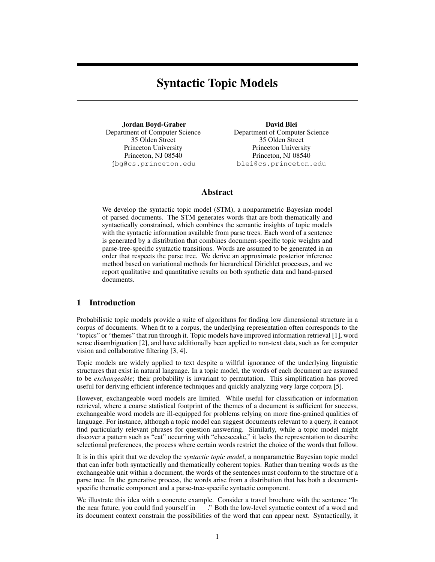# Syntactic Topic Models

Jordan Boyd-Graber Department of Computer Science 35 Olden Street Princeton University Princeton, NJ 08540 jbg@cs.princeton.edu

David Blei Department of Computer Science 35 Olden Street Princeton University Princeton, NJ 08540 blei@cs.princeton.edu

## Abstract

We develop the syntactic topic model (STM), a nonparametric Bayesian model of parsed documents. The STM generates words that are both thematically and syntactically constrained, which combines the semantic insights of topic models with the syntactic information available from parse trees. Each word of a sentence is generated by a distribution that combines document-specific topic weights and parse-tree-specific syntactic transitions. Words are assumed to be generated in an order that respects the parse tree. We derive an approximate posterior inference method based on variational methods for hierarchical Dirichlet processes, and we report qualitative and quantitative results on both synthetic data and hand-parsed documents.

# 1 Introduction

Probabilistic topic models provide a suite of algorithms for finding low dimensional structure in a corpus of documents. When fit to a corpus, the underlying representation often corresponds to the "topics" or "themes" that run through it. Topic models have improved information retrieval [1], word sense disambiguation [2], and have additionally been applied to non-text data, such as for computer vision and collaborative filtering [3, 4].

Topic models are widely applied to text despite a willful ignorance of the underlying linguistic structures that exist in natural language. In a topic model, the words of each document are assumed to be *exchangeable*; their probability is invariant to permutation. This simplification has proved useful for deriving efficient inference techniques and quickly analyzing very large corpora [5].

However, exchangeable word models are limited. While useful for classification or information retrieval, where a coarse statistical footprint of the themes of a document is sufficient for success, exchangeable word models are ill-equipped for problems relying on more fine-grained qualities of language. For instance, although a topic model can suggest documents relevant to a query, it cannot find particularly relevant phrases for question answering. Similarly, while a topic model might discover a pattern such as "eat" occurring with "cheesecake," it lacks the representation to describe selectional preferences, the process where certain words restrict the choice of the words that follow.

It is in this spirit that we develop the *syntactic topic model*, a nonparametric Bayesian topic model that can infer both syntactically and thematically coherent topics. Rather than treating words as the exchangeable unit within a document, the words of the sentences must conform to the structure of a parse tree. In the generative process, the words arise from a distribution that has both a documentspecific thematic component and a parse-tree-specific syntactic component.

We illustrate this idea with a concrete example. Consider a travel brochure with the sentence "In the near future, you could find yourself in  $\frac{1}{2}$ . Both the low-level syntactic context of a word and its document context constrain the possibilities of the word that can appear next. Syntactically, it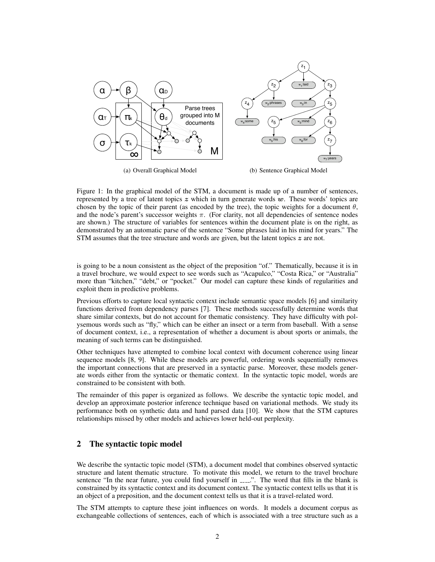

Figure 1: In the graphical model of the STM, a document is made up of a number of sentences, represented by a tree of latent topics  $z$  which in turn generate words  $w$ . These words' topics are chosen by the topic of their parent (as encoded by the tree), the topic weights for a document  $\theta$ , and the node's parent's successor weights  $\pi$ . (For clarity, not all dependencies of sentence nodes are shown.) The structure of variables for sentences within the document plate is on the right, as demonstrated by an automatic parse of the sentence "Some phrases laid in his mind for years." The STM assumes that the tree structure and words are given, but the latent topics  $z$  are not.

is going to be a noun consistent as the object of the preposition "of." Thematically, because it is in a travel brochure, we would expect to see words such as "Acapulco," "Costa Rica," or "Australia" more than "kitchen," "debt," or "pocket." Our model can capture these kinds of regularities and exploit them in predictive problems.

Previous efforts to capture local syntactic context include semantic space models [6] and similarity functions derived from dependency parses [7]. These methods successfully determine words that share similar contexts, but do not account for thematic consistency. They have difficulty with polysemous words such as "fly," which can be either an insect or a term from baseball. With a sense of document context, i.e., a representation of whether a document is about sports or animals, the meaning of such terms can be distinguished.

Other techniques have attempted to combine local context with document coherence using linear sequence models [8, 9]. While these models are powerful, ordering words sequentially removes the important connections that are preserved in a syntactic parse. Moreover, these models generate words either from the syntactic or thematic context. In the syntactic topic model, words are constrained to be consistent with both.

The remainder of this paper is organized as follows. We describe the syntactic topic model, and develop an approximate posterior inference technique based on variational methods. We study its performance both on synthetic data and hand parsed data [10]. We show that the STM captures relationships missed by other models and achieves lower held-out perplexity.

# 2 The syntactic topic model

We describe the syntactic topic model (STM), a document model that combines observed syntactic structure and latent thematic structure. To motivate this model, we return to the travel brochure sentence "In the near future, you could find yourself in ......". The word that fills in the blank is constrained by its syntactic context and its document context. The syntactic context tells us that it is an object of a preposition, and the document context tells us that it is a travel-related word.

The STM attempts to capture these joint influences on words. It models a document corpus as exchangeable collections of sentences, each of which is associated with a tree structure such as a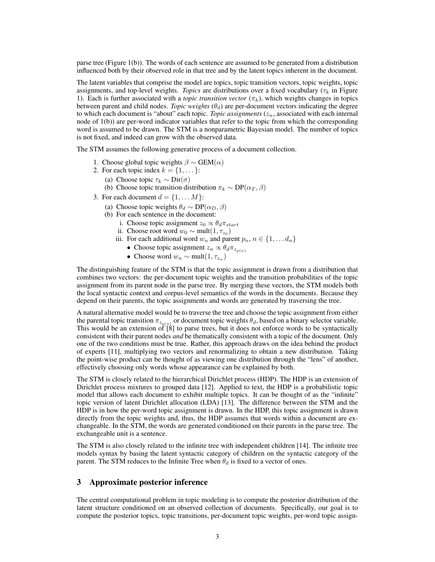parse tree (Figure 1(b)). The words of each sentence are assumed to be generated from a distribution influenced both by their observed role in that tree and by the latent topics inherent in the document.

The latent variables that comprise the model are topics, topic transition vectors, topic weights, topic assignments, and top-level weights. *Topics* are distributions over a fixed vocabulary ( $\tau_k$  in Figure 1). Each is further associated with a *topic transition vector*  $(\pi_k)$ , which weights changes in topics between parent and child nodes. *Topic weights*  $(\theta_d)$  are per-document vectors indicating the degree to which each document is "about" each topic. *Topic assignments*  $(z_n)$ , associated with each internal node of 1(b)) are per-word indicator variables that refer to the topic from which the corresponding word is assumed to be drawn. The STM is a nonparametric Bayesian model. The number of topics is not fixed, and indeed can grow with the observed data.

The STM assumes the following generative process of a document collection.

- 1. Choose global topic weights  $\beta \sim \text{GEM}(\alpha)$
- 2. For each topic index  $k = \{1, \dots\}$ :
	- (a) Choose topic  $\tau_k \sim \text{Dir}(\sigma)$
	- (b) Choose topic transition distribution  $\pi_k \sim DP(\alpha_T, \beta)$
- 3. For each document  $d = \{1, \dots M\}$ :
	- (a) Choose topic weights  $\theta_d \sim DP(\alpha_D, \beta)$
	- (b) For each sentence in the document:
		- i. Choose topic assignment  $z_0 \propto \theta_d \pi_{start}$
		- ii. Choose root word  $w_0 \sim \text{mult}(1, \tau_{z_0})$
		- iii. For each additional word  $w_n$  and parent  $p_n$ ,  $n \in \{1, \ldots d_n\}$ 
			- Choose topic assignment  $z_n \propto \theta_d \pi_{z_{p(n)}}$
			- Choose word  $w_n \sim \text{mult}(1, \tau_{z_n})$

The distinguishing feature of the STM is that the topic assignment is drawn from a distribution that combines two vectors: the per-document topic weights and the transition probabilities of the topic assignment from its parent node in the parse tree. By merging these vectors, the STM models both the local syntactic context and corpus-level semantics of the words in the documents. Because they depend on their parents, the topic assignments and words are generated by traversing the tree.

A natural alternative model would be to traverse the tree and choose the topic assignment from either the parental topic transition  $\pi_{z_{p(n)}}$  or document topic weights  $\theta_d$ , based on a binary selector variable. This would be an extension of [8] to parse trees, but it does not enforce words to be syntactically consistent with their parent nodes *and* be thematically consistent with a topic of the document. Only one of the two conditions must be true. Rather, this approach draws on the idea behind the product of experts [11], multiplying two vectors and renormalizing to obtain a new distribution. Taking the point-wise product can be thought of as viewing one distribution through the "lens" of another, effectively choosing only words whose appearance can be explained by both.

The STM is closely related to the hierarchical Dirichlet process (HDP). The HDP is an extension of Dirichlet process mixtures to grouped data [12]. Applied to text, the HDP is a probabilistic topic model that allows each document to exhibit multiple topics. It can be thought of as the "infinite" topic version of latent Dirichlet allocation (LDA) [13]. The difference between the STM and the HDP is in how the per-word topic assignment is drawn. In the HDP, this topic assignment is drawn directly from the topic weights and, thus, the HDP assumes that words within a document are exchangeable. In the STM, the words are generated conditioned on their parents in the parse tree. The exchangeable unit is a sentence.

The STM is also closely related to the infinite tree with independent children [14]. The infinite tree models syntax by basing the latent syntactic category of children on the syntactic category of the parent. The STM reduces to the Infinite Tree when  $\theta_d$  is fixed to a vector of ones.

#### 3 Approximate posterior inference

The central computational problem in topic modeling is to compute the posterior distribution of the latent structure conditioned on an observed collection of documents. Specifically, our goal is to compute the posterior topics, topic transitions, per-document topic weights, per-word topic assign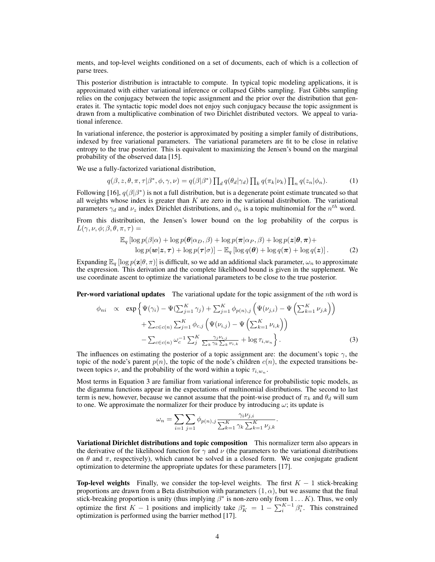ments, and top-level weights conditioned on a set of documents, each of which is a collection of parse trees.

This posterior distribution is intractable to compute. In typical topic modeling applications, it is approximated with either variational inference or collapsed Gibbs sampling. Fast Gibbs sampling relies on the conjugacy between the topic assignment and the prior over the distribution that generates it. The syntactic topic model does not enjoy such conjugacy because the topic assignment is drawn from a multiplicative combination of two Dirichlet distributed vectors. We appeal to variational inference.

In variational inference, the posterior is approximated by positing a simpler family of distributions, indexed by free variational parameters. The variational parameters are fit to be close in relative entropy to the true posterior. This is equivalent to maximizing the Jensen's bound on the marginal probability of the observed data [15].

We use a fully-factorized variational distribution,

$$
q(\beta, z, \theta, \pi, \tau | \beta^*, \phi, \gamma, \nu) = q(\beta | \beta^*) \prod_d q(\theta_d | \gamma_d) \prod_k q(\pi_k | \nu_k) \prod_n q(z_n | \phi_n).
$$
 (1)

Following [16],  $q(\beta|\beta^*)$  is not a full distribution, but is a degenerate point estimate truncated so that all weights whose index is greater than  $K$  are zero in the variational distribution. The variational parameters  $\gamma_d$  and  $\nu_z$  index Dirichlet distributions, and  $\phi_n$  is a topic multinomial for the  $n^{th}$  word.

From this distribution, the Jensen's lower bound on the log probability of the corpus is  $L(\gamma,\nu,\phi;\beta,\theta,\pi,\tau) =$ 

$$
\mathbb{E}_{q} \left[ \log p(\beta|\alpha) + \log p(\boldsymbol{\theta}|\alpha_{D}, \beta) + \log p(\boldsymbol{\pi}|\alpha_{P}, \beta) + \log p(z|\boldsymbol{\theta}, \boldsymbol{\pi}) + \log p(w|z, \boldsymbol{\tau}) + \log p(\boldsymbol{\tau}|\sigma) \right] - \mathbb{E}_{q} \left[ \log q(\boldsymbol{\theta}) + \log q(\boldsymbol{\pi}) + \log q(z) \right].
$$
 (2)

Expanding  $\mathbb{E}_q$  [log  $p(\mathbf{z}|\theta, \pi)$ ] is difficult, so we add an additional slack parameter,  $\omega_n$  to approximate the expression. This derivation and the complete likelihood bound is given in the supplement. We use coordinate ascent to optimize the variational parameters to be close to the true posterior.

**Per-word variational updates** The variational update for the topic assignment of the nth word is

$$
\phi_{ni} \propto \exp\left\{\Psi(\gamma_i) - \Psi(\sum_{j=1}^K \gamma_j) + \sum_{j=1}^K \phi_{p(n),j} \left(\Psi(\nu_{j,i}) - \Psi\left(\sum_{k=1}^K \nu_{j,k}\right)\right) \right. \\ \left. + \sum_{c \in c(n)} \sum_{j=1}^K \phi_{c,j} \left(\Psi(\nu_{i,j}) - \Psi\left(\sum_{k=1}^K \nu_{i,k}\right)\right) \right. \\ \left. - \sum_{c \in c(n)} \omega_c^{-1} \sum_j^K \frac{\gamma_j \nu_{i,j}}{\sum_k \gamma_k \sum_k \nu_{i,k}} + \log \tau_{i,w_n} \right\}.
$$
\n(3)

The influences on estimating the posterior of a topic assignment are: the document's topic  $\gamma$ , the topic of the node's parent  $p(n)$ , the topic of the node's children  $c(n)$ , the expected transitions between topics  $\nu$ , and the probability of the word within a topic  $\tau_{i,w_n}$ .

Most terms in Equation 3 are familiar from variational inference for probabilistic topic models, as the digamma functions appear in the expectations of multinomial distributions. The second to last term is new, however, because we cannot assume that the point-wise product of  $\pi_k$  and  $\theta_d$  will sum to one. We approximate the normalizer for their produce by introducing  $\omega$ ; its update is

$$
\omega_n = \sum_{i=1} \sum_{j=1} \phi_{p(n),j} \frac{\gamma_i \nu_{j,i}}{\sum_{k=1}^K \gamma_k \sum_{k=1}^K \nu_{j,k}}
$$

.

Variational Dirichlet distributions and topic composition This normalizer term also appears in the derivative of the likelihood function for  $\gamma$  and  $\nu$  (the parameters to the variational distributions on  $\theta$  and  $\pi$ , respectively), which cannot be solved in a closed form. We use conjugate gradient optimization to determine the appropriate updates for these parameters [17].

**Top-level weights** Finally, we consider the top-level weights. The first  $K - 1$  stick-breaking proportions are drawn from a Beta distribution with parameters  $(1, \alpha)$ , but we assume that the final stick-breaking proportion is unity (thus implying  $\beta^*$  is non-zero only from  $1 \dots K$ ). Thus, we only optimize the first  $K-1$  positions and implicitly take  $\beta_K^* = 1 - \sum_i^{K-1} \beta_i^*$ . This constrained optimization is performed using the barrier method [17].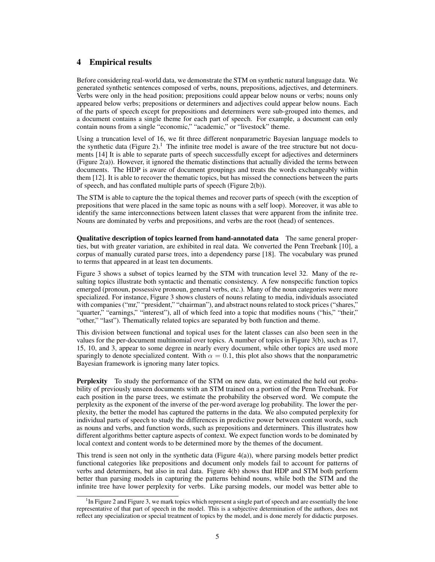# 4 Empirical results

Before considering real-world data, we demonstrate the STM on synthetic natural language data. We generated synthetic sentences composed of verbs, nouns, prepositions, adjectives, and determiners. Verbs were only in the head position; prepositions could appear below nouns or verbs; nouns only appeared below verbs; prepositions or determiners and adjectives could appear below nouns. Each of the parts of speech except for prepositions and determiners were sub-grouped into themes, and a document contains a single theme for each part of speech. For example, a document can only contain nouns from a single "economic," "academic," or "livestock" theme.

Using a truncation level of 16, we fit three different nonparametric Bayesian language models to the synthetic data (Figure 2).<sup>1</sup> The infinite tree model is aware of the tree structure but not documents [14] It is able to separate parts of speech successfully except for adjectives and determiners (Figure 2(a)). However, it ignored the thematic distinctions that actually divided the terms between documents. The HDP is aware of document groupings and treats the words exchangeably within them [12]. It is able to recover the thematic topics, but has missed the connections between the parts of speech, and has conflated multiple parts of speech (Figure 2(b)).

The STM is able to capture the the topical themes and recover parts of speech (with the exception of prepositions that were placed in the same topic as nouns with a self loop). Moreover, it was able to identify the same interconnections between latent classes that were apparent from the infinite tree. Nouns are dominated by verbs and prepositions, and verbs are the root (head) of sentences.

Qualitative description of topics learned from hand-annotated data The same general properties, but with greater variation, are exhibited in real data. We converted the Penn Treebank [10], a corpus of manually curated parse trees, into a dependency parse [18]. The vocabulary was pruned to terms that appeared in at least ten documents.

Figure 3 shows a subset of topics learned by the STM with truncation level 32. Many of the resulting topics illustrate both syntactic and thematic consistency. A few nonspecific function topics emerged (pronoun, possessive pronoun, general verbs, etc.). Many of the noun categories were more specialized. For instance, Figure 3 shows clusters of nouns relating to media, individuals associated with companies ("mr," "president," "chairman"), and abstract nouns related to stock prices ("shares," "quarter," "earnings," "interest"), all of which feed into a topic that modifies nouns ("his," "their," "other," "last"). Thematically related topics are separated by both function and theme.

This division between functional and topical uses for the latent classes can also been seen in the values for the per-document multinomial over topics. A number of topics in Figure 3(b), such as 17, 15, 10, and 3, appear to some degree in nearly every document, while other topics are used more sparingly to denote specialized content. With  $\alpha = 0.1$ , this plot also shows that the nonparametric Bayesian framework is ignoring many later topics.

Perplexity To study the performance of the STM on new data, we estimated the held out probability of previously unseen documents with an STM trained on a portion of the Penn Treebank. For each position in the parse trees, we estimate the probability the observed word. We compute the perplexity as the exponent of the inverse of the per-word average log probability. The lower the perplexity, the better the model has captured the patterns in the data. We also computed perplexity for individual parts of speech to study the differences in predictive power between content words, such as nouns and verbs, and function words, such as prepositions and determiners. This illustrates how different algorithms better capture aspects of context. We expect function words to be dominated by local context and content words to be determined more by the themes of the document.

This trend is seen not only in the synthetic data (Figure 4(a)), where parsing models better predict functional categories like prepositions and document only models fail to account for patterns of verbs and determiners, but also in real data. Figure 4(b) shows that HDP and STM both perform better than parsing models in capturing the patterns behind nouns, while both the STM and the infinite tree have lower perplexity for verbs. Like parsing models, our model was better able to

<sup>&</sup>lt;sup>1</sup>In Figure 2 and Figure 3, we mark topics which represent a single part of speech and are essentially the lone representative of that part of speech in the model. This is a subjective determination of the authors, does not reflect any specialization or special treatment of topics by the model, and is done merely for didactic purposes.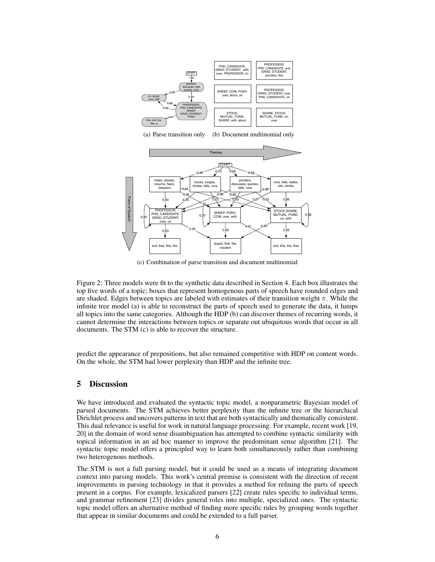



(c) Combination of parse transition and document multinomial

Figure 2: Three models were fit to the synthetic data described in Section 4. Each box illustrates the top five words of a topic; boxes that represent homogenous parts of speech have rounded edges and are shaded. Edges between topics are labeled with estimates of their transition weight  $\pi$ . While the infinite tree model (a) is able to reconstruct the parts of speech used to generate the data, it lumps all topics into the same categories. Although the HDP (b) can discover themes of recurring words, it cannot determine the interactions between topics or separate out ubiquitous words that occur in all documents. The STM (c) is able to recover the structure.

predict the appearance of prepositions, but also remained competitive with HDP on content words. On the whole, the STM had lower perplexity than HDP and the infinite tree.

#### 5 Discussion

We have introduced and evaluated the syntactic topic model, a nonparametric Bayesian model of parsed documents. The STM achieves better perplexity than the infinite tree or the hierarchical Dirichlet process and uncovers patterns in text that are both syntactically and thematically consistent. This dual relevance is useful for work in natural language processing. For example, recent work [19, 20] in the domain of word sense disambiguation has attempted to combine syntactic similarity with topical information in an ad hoc manner to improve the predominant sense algorithm [21]. The syntactic topic model offers a principled way to learn both simultaneously rather than combining two heterogenous methods.

The STM is not a full parsing model, but it could be used as a means of integrating document context into parsing models. This work's central premise is consistent with the direction of recent improvements in parsing technology in that it provides a method for refining the parts of speech present in a corpus. For example, lexicalized parsers [22] create rules specific to individual terms, and grammar refinement [23] divides general roles into multiple, specialized ones. The syntactic topic model offers an alternative method of finding more specific rules by grouping words together that appear in similar documents and could be extended to a full parser.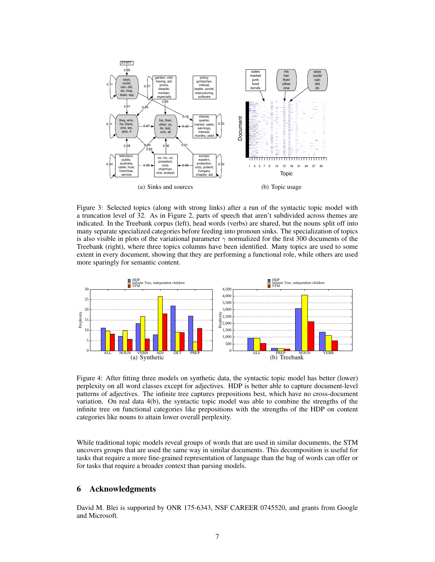

Figure 3: Selected topics (along with strong links) after a run of the syntactic topic model with a truncation level of 32. As in Figure 2, parts of speech that aren't subdivided across themes are indicated. In the Treebank corpus (left), head words (verbs) are shared, but the nouns split off into many separate specialized categories before feeding into pronoun sinks. The specialization of topics is also visible in plots of the variational parameter  $\gamma$  normalized for the first 300 documents of the Treebank (right), where three topics columns have been identified. Many topics are used to some extent in every document, showing that they are performing a functional role, while others are used more sparingly for semantic content.



Figure 4: After fitting three models on synthetic data, the syntactic topic model has better (lower) perplexity on all word classes except for adjectives. HDP is better able to capture document-level patterns of adjectives. The infinite tree captures prepositions best, which have no cross-document variation. On real data 4(b), the syntactic topic model was able to combine the strengths of the infinite tree on functional categories like prepositions with the strengths of the HDP on content categories like nouns to attain lower overall perplexity.

While traditional topic models reveal groups of words that are used in similar documents, the STM uncovers groups that are used the same way in similar documents. This decomposition is useful for tasks that require a more fine-grained representation of language than the bag of words can offer or for tasks that require a broader context than parsing models.

## 6 Acknowledgments

David M. Blei is supported by ONR 175-6343, NSF CAREER 0745520, and grants from Google and Microsoft.